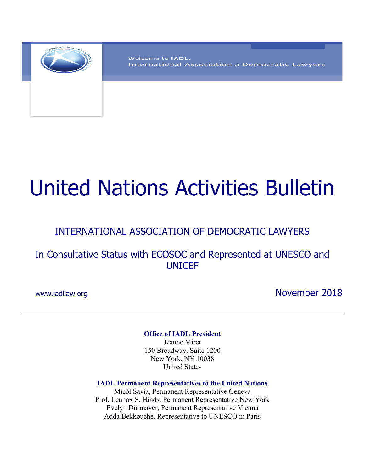

Welcome to IADL, International Association of Democratic Lawyers

# United Nations Activities Bulletin

## INTERNATIONAL ASSOCIATION OF DEMOCRATIC LAWYERS

In Consultative Status with ECOSOC and Represented at UNESCO and UNICEF

www.iadllaw.org November 2018

**Office of IADL President**

Jeanne Mirer 150 Broadway, Suite 1200 New York, NY 10038 United States

**IADL Permanent Representatives to the United Nations**

Micòl Savia, Permanent Representative Geneva Prof. Lennox S. Hinds, Permanent Representative New York Evelyn Dürmayer, Permanent Representative Vienna Adda Bekkouche, Representative to UNESCO in Paris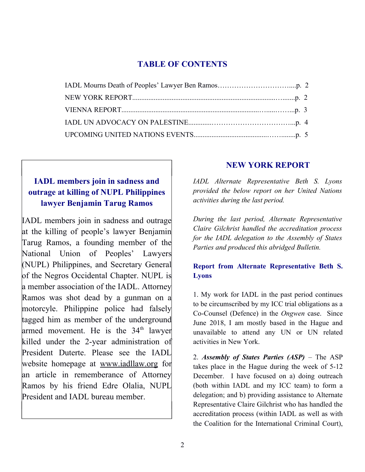### **TABLE OF CONTENTS**

## **IADL members join in sadness and outrage at killing of NUPL Philippines lawyer Benjamin Tarug Ramos**

IADL members join in sadness and outrage at the killing of people's lawyer Benjamin Tarug Ramos, a founding member of the National Union of Peoples' Lawyers (NUPL) Philippines, and Secretary General of the Negros Occidental Chapter. NUPL is a member association of the IADL. Attorney Ramos was shot dead by a gunman on a motorcyle. Philippine police had falsely tagged him as member of the underground armed movement. He is the  $34<sup>th</sup>$  lawyer killed under the 2-year administration of President Duterte. Please see the IADL website homepage at [www.iadllaw.org](http://www.iadllaw.org/) for an article in rememberance of Attorney Ramos by his friend Edre Olalia, NUPL President and IADL bureau member.

## **NEW YORK REPORT**

*IADL Alternate Representative Beth S. Lyons provided the below report on her United Nations activities during the last period.* 

*During the last period, Alternate Representative Claire Gilchrist handled the accreditation process for the IADL delegation to the Assembly of States Parties and produced this abridged Bulletin.*

## **Report from Alternate Representative Beth S. Lyons**

1. My work for IADL in the past period continues to be circumscribed by my ICC trial obligations as a Co-Counsel (Defence) in the *Ongwen* case. Since June 2018, I am mostly based in the Hague and unavailable to attend any UN or UN related activities in New York.

2. *Assembly of States Parties (ASP)* – The ASP takes place in the Hague during the week of 5-12 December. I have focused on a) doing outreach (both within IADL and my ICC team) to form a delegation; and b) providing assistance to Alternate Representative Claire Gilchrist who has handled the accreditation process (within IADL as well as with the Coalition for the International Criminal Court),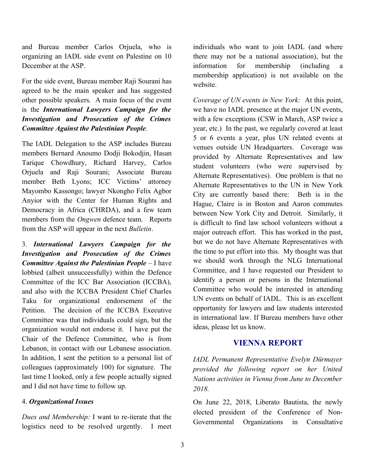and Bureau member Carlos Orjuela, who is organizing an IADL side event on Palestine on 10 December at the ASP.

For the side event, Bureau member Raji Sourani has agreed to be the main speaker and has suggested other possible speakers. A main focus of the event is the *International Lawyers Campaign for the Investigation and Prosecution of the Crimes Committee Against the Palestinian People*.

The IADL Delegation to the ASP includes Bureau members Bernard Anoumo Dodji Bokodjin, Hasan Tarique Chowdhury, Richard Harvey, Carlos Orjuela and Raji Sourani; Associate Bureau member Beth Lyons; ICC Victims' attorney Mayombo Kassongo; lawyer Nkongho Felix Agbor Anyior with the Center for Human Rights and Democracy in Africa (CHRDA), and a few team members from the *Ongwen* defence team. Reports from the ASP will appear in the next *Bulletin*.

3. *International Lawyers Campaign for the Investigation and Prosecution of the Crimes Committee Against the Palestinian People* – I have lobbied (albeit unsuccessfully) within the Defence Committee of the ICC Bar Association (ICCBA), and also with the ICCBA President Chief Charles Taku for organizational endorsement of the Petition. The decision of the ICCBA Executive Committee was that individuals could sign, but the organization would not endorse it. I have put the Chair of the Defence Committee, who is from Lebanon, in contact with our Lebanese association. In addition, I sent the petition to a personal list of colleagues (approximately 100) for signature. The last time I looked, only a few people actually signed and I did not have time to follow up.

#### 4. *Organizational Issues*

*Dues and Membership:* I want to re-iterate that the logistics need to be resolved urgently. I meet

individuals who want to join IADL (and where there may not be a national association), but the information for membership (including membership application) is not available on the website.

*Coverage of UN events in New York:* At this point, we have no IADL presence at the major UN events, with a few exceptions (CSW in March, ASP twice a year, etc.) In the past, we regularly covered at least 5 or 6 events a year, plus UN related events at venues outside UN Headquarters. Coverage was provided by Alternate Representatives and law student volunteers (who were supervised by Alternate Representatives). One problem is that no Alternate Representatives to the UN in New York City are currently based there: Beth is in the Hague, Claire is in Boston and Aaron commutes between New York City and Detroit. Similarly, it is difficult to find law school volunteers without a major outreach effort. This has worked in the past, but we do not have Alternate Representatives with the time to put effort into this. My thought was that we should work through the NLG International Committee, and I have requested our President to identify a person or persons in the International Committee who would be interested in attending UN events on behalf of IADL. This is an excellent opportunity for lawyers and law students interested in international law. If Bureau members have other ideas, please let us know.

#### **VIENNA REPORT**

*IADL Permanent Representative Evelyn Dürmayer provided the following report on her United Nations activities in Vienna from June to December 2018.* 

On June 22, 2018, Liberato Bautista, the newly elected president of the Conference of Non-Governmental Organizations in Consultative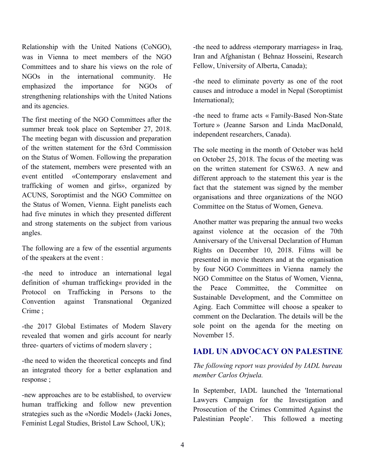Relationship with the United Nations (CoNGO), was in Vienna to meet members of the NGO Committees and to share his views on the role of NGOs in the international community. He emphasized the importance for NGOs of strengthening relationships with the United Nations and its agencies.

The first meeting of the NGO Committees after the summer break took place on September 27, 2018. The meeting began with discussion and preparation of the written statement for the 63rd Commission on the Status of Women. Following the preparation of the statement, members were presented with an event entitled «Contemporary enslavement and trafficking of women and girls», organized by ACUNS, Soroptimist and the NGO Committee on the Status of Women, Vienna. Eight panelists each had five minutes in which they presented different and strong statements on the subject from various angles.

The following are a few of the essential arguments of the speakers at the event :

-the need to introduce an international legal definition of «human trafficking« provided in the Protocol on Trafficking in Persons to the Convention against Transnational Organized Crime ;

-the 2017 Global Estimates of Modern Slavery revealed that women and girls account for nearly three- quarters of victims of modern slavery ;

-the need to widen the theoretical concepts and find an integrated theory for a better explanation and response ;

-new approaches are to be established, to overview human trafficking and follow new prevention strategies such as the «Nordic Model» (Jacki Jones, Feminist Legal Studies, Bristol Law School, UK);

-the need to address «temporary marriages» in Iraq, Iran and Afghanistan ( Behnaz Hosseini, Research Fellow, University of Alberta, Canada);

-the need to eliminate poverty as one of the root causes and introduce a model in Nepal (Soroptimist International);

-the need to frame acts « Family-Based Non-State Torture » (Jeanne Sarson and Linda MacDonald, independent researchers, Canada).

The sole meeting in the month of October was held on October 25, 2018. The focus of the meeting was on the written statement for CSW63. A new and different approach to the statement this year is the fact that the statement was signed by the member organisations and three organizations of the NGO Committee on the Status of Women, Geneva.

Another matter was preparing the annual two weeks against violence at the occasion of the 70th Anniversary of the Universal Declaration of Human Rights on December 10, 2018. Films will be presented in movie theaters and at the organisation by four NGO Committees in Vienna namely the NGO Committee on the Status of Women, Vienna, the Peace Committee, the Committee on Sustainable Development, and the Committee on Aging. Each Committee will choose a speaker to comment on the Declaration. The details will be the sole point on the agenda for the meeting on November 15.

#### **IADL UN ADVOCACY ON PALESTINE**

#### *The following report was provided by IADL bureau member Carlos Orjuela.*

In September, IADL launched the 'International Lawyers Campaign for the Investigation and Prosecution of the Crimes Committed Against the Palestinian People'. This followed a meeting